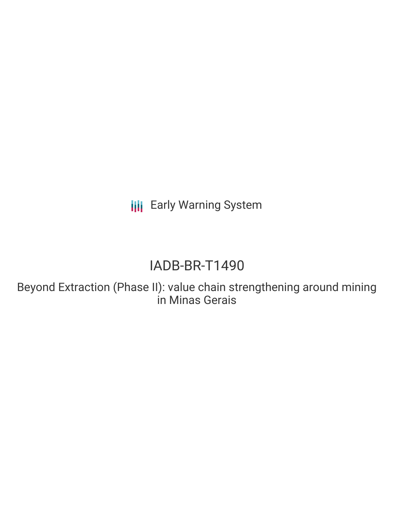**III** Early Warning System

# IADB-BR-T1490

Beyond Extraction (Phase II): value chain strengthening around mining in Minas Gerais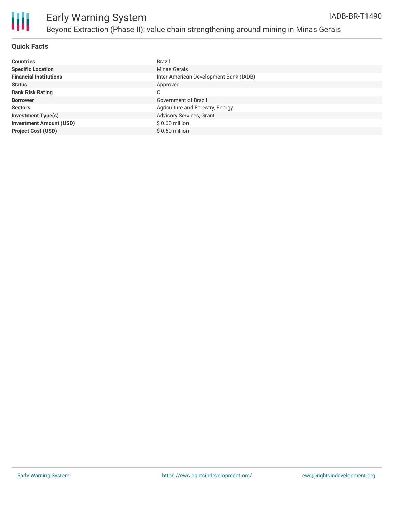

# Early Warning System Beyond Extraction (Phase II): value chain strengthening around mining in Minas Gerais

#### **Quick Facts**

| <b>Countries</b>               | <b>Brazil</b>                          |
|--------------------------------|----------------------------------------|
| <b>Specific Location</b>       | Minas Gerais                           |
| <b>Financial Institutions</b>  | Inter-American Development Bank (IADB) |
| <b>Status</b>                  | Approved                               |
| <b>Bank Risk Rating</b>        | C                                      |
| <b>Borrower</b>                | <b>Government of Brazil</b>            |
| <b>Sectors</b>                 | Agriculture and Forestry, Energy       |
| <b>Investment Type(s)</b>      | Advisory Services, Grant               |
| <b>Investment Amount (USD)</b> | $$0.60$ million                        |
| <b>Project Cost (USD)</b>      | $$0.60$ million                        |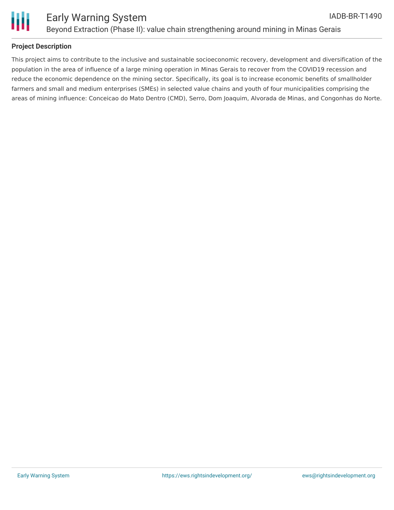

### **Project Description**

This project aims to contribute to the inclusive and sustainable socioeconomic recovery, development and diversification of the population in the area of influence of a large mining operation in Minas Gerais to recover from the COVID19 recession and reduce the economic dependence on the mining sector. Specifically, its goal is to increase economic benefits of smallholder farmers and small and medium enterprises (SMEs) in selected value chains and youth of four municipalities comprising the areas of mining influence: Conceicao do Mato Dentro (CMD), Serro, Dom Joaquim, Alvorada de Minas, and Congonhas do Norte.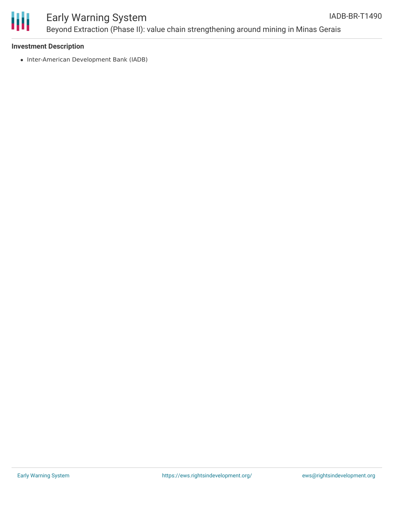

## Early Warning System Beyond Extraction (Phase II): value chain strengthening around mining in Minas Gerais

#### **Investment Description**

• Inter-American Development Bank (IADB)